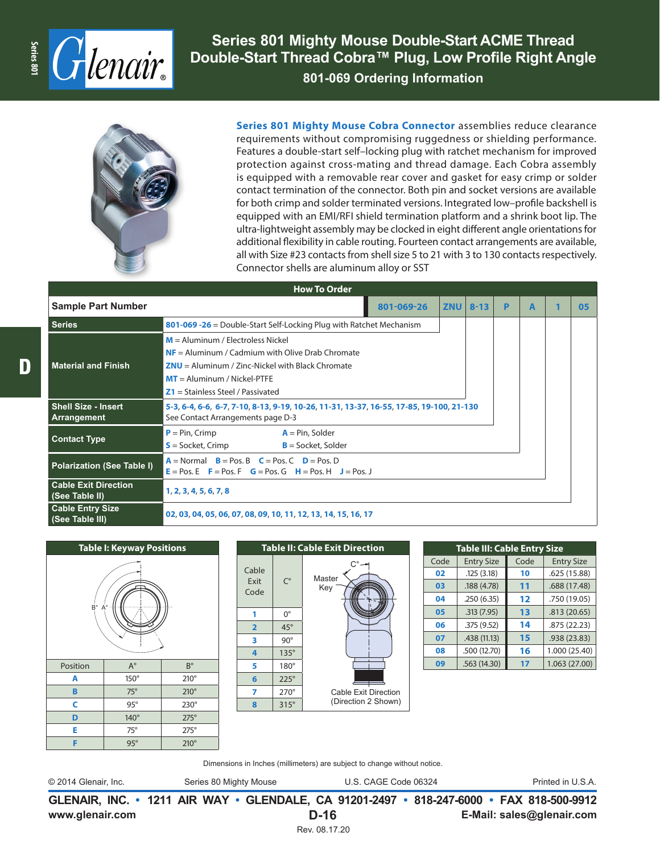

**Series 801 Mighty Mouse Double-Start ACME Thread Double-Start Thread Cobra™ Plug, Low Profile Right Angle 801-069 Ordering Information**



**Series 801 Mighty Mouse Cobra Connector** assemblies reduce clearance requirements without compromising ruggedness or shielding performance. Features a double-start self–locking plug with ratchet mechanism for improved protection against cross-mating and thread damage. Each Cobra assembly is equipped with a removable rear cover and gasket for easy crimp or solder contact termination of the connector. Both pin and socket versions are available for both crimp and solder terminated versions. Integrated low–profile backshell is equipped with an EMI/RFI shield termination platform and a shrink boot lip. The ultra-lightweight assembly may be clocked in eight different angle orientations for additional flexibility in cable routing. Fourteen contact arrangements are available, all with Size #23 contacts from shell size 5 to 21 with 3 to 130 contacts respectively. Connector shells are aluminum alloy or SST

| <b>How To Order</b>                           |                                                                                                                                                                                                                         |            |          |   |   |  |    |  |  |
|-----------------------------------------------|-------------------------------------------------------------------------------------------------------------------------------------------------------------------------------------------------------------------------|------------|----------|---|---|--|----|--|--|
| <b>Sample Part Number</b>                     | 801-069-26                                                                                                                                                                                                              | <b>ZNU</b> | $8 - 13$ | P | A |  | 05 |  |  |
| <b>Series</b>                                 | 801-069 -26 = Double-Start Self-Locking Plug with Ratchet Mechanism                                                                                                                                                     |            |          |   |   |  |    |  |  |
| <b>Material and Finish</b>                    | $M =$ Aluminum / Electroless Nickel<br>$NF =$ Aluminum / Cadmium with Olive Drab Chromate<br>$ZNU =$ Aluminum / Zinc-Nickel with Black Chromate<br>$MT =$ Aluminum / Nickel-PTFE<br>$Z1$ = Stainless Steel / Passivated |            |          |   |   |  |    |  |  |
| <b>Shell Size - Insert</b><br>Arrangement     | 5-3, 6-4, 6-6, 6-7, 7-10, 8-13, 9-19, 10-26, 11-31, 13-37, 16-55, 17-85, 19-100, 21-130<br>See Contact Arrangements page D-3                                                                                            |            |          |   |   |  |    |  |  |
| <b>Contact Type</b>                           | $P = Pin, Crimp$<br>$A = Pin$ , Solder<br>$S =$ Socket, Crimp<br>$B =$ Socket, Solder                                                                                                                                   |            |          |   |   |  |    |  |  |
| Polarization (See Table I)                    | $A = Normal$ $B = Pos$ . B $C = Pos$ . C $D = Pos$ . D<br>$E = Pos$ . $E = Pos$ . $F = Pos$ . $G = Pos$ . $G = H = Pos$ . $H = Pos$ . J                                                                                 |            |          |   |   |  |    |  |  |
| <b>Cable Exit Direction</b><br>(See Table II) | 1, 2, 3, 4, 5, 6, 7, 8                                                                                                                                                                                                  |            |          |   |   |  |    |  |  |
| <b>Cable Entry Size</b><br>(See Table III)    | 02, 03, 04, 05, 06, 07, 08, 09, 10, 11, 12, 13, 14, 15, 16, 17                                                                                                                                                          |            |          |   |   |  |    |  |  |





| <b>Table III: Cable Entry Size</b> |                   |      |                   |  |  |  |
|------------------------------------|-------------------|------|-------------------|--|--|--|
| Code                               | <b>Entry Size</b> | Code | <b>Entry Size</b> |  |  |  |
| 02                                 | .125(3.18)        | 10   | .625 (15.88)      |  |  |  |
| 03                                 | .188(4.78)        | 11   | .688 (17.48)      |  |  |  |
| 04                                 | .250(6.35)        | 12   | .750 (19.05)      |  |  |  |
| 05                                 | .313(7.95)        | 13   | .813(20.65)       |  |  |  |
| 06                                 | .375 (9.52)       | 14   | .875(22.23)       |  |  |  |
| 07                                 | .438 (11.13)      | 15   | .938 (23.83)      |  |  |  |
| 08                                 | .500 (12.70)      | 16   | 1.000 (25.40)     |  |  |  |
| 09                                 | .563 (14.30)      | 17   | 1.063 (27.00)     |  |  |  |

Dimensions in Inches (millimeters) are subject to change without notice.

© 2014 Glenair, Inc. Series 80 Mighty Mouse U.S. CAGE Code 06324 Printed in U.S.A.

**www.glenair.com E-Mail: sales@glenair.com GLENAIR, INC. • 1211 AIR WAY • GLENDALE, CA 91201-2497 • 818-247-6000 • FAX 818-500-9912 D-16** Rev. 08.17.20